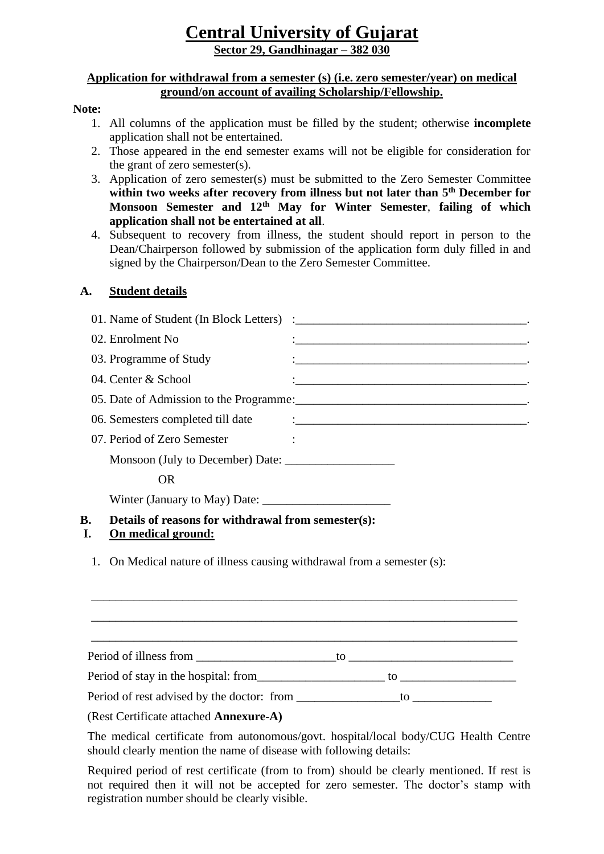# **Central University of Gujarat Sector 29, Gandhinagar – 382 030**

## **Application for withdrawal from a semester (s) (i.e. zero semester/year) on medical ground/on account of availing Scholarship/Fellowship.**

### **Note:**

- 1. All columns of the application must be filled by the student; otherwise **incomplete**  application shall not be entertained.
- 2. Those appeared in the end semester exams will not be eligible for consideration for the grant of zero semester(s).
- 3. Application of zero semester(s) must be submitted to the Zero Semester Committee within two weeks after recovery from illness but not later than  $5<sup>th</sup>$  December for **Monsoon Semester and 12th May for Winter Semester**, **failing of which application shall not be entertained at all**.
- 4. Subsequent to recovery from illness, the student should report in person to the Dean/Chairperson followed by submission of the application form duly filled in and signed by the Chairperson/Dean to the Zero Semester Committee.

# **A. Student details**

| <b>B.</b> | Details of reasons for withdrawal from semester(s): |  |
|-----------|-----------------------------------------------------|--|
|           |                                                     |  |
|           | <b>OR</b>                                           |  |
|           |                                                     |  |
|           | 07. Period of Zero Semester                         |  |
|           | 06. Semesters completed till date                   |  |
|           |                                                     |  |
|           | 04. Center & School                                 |  |
|           | 03. Programme of Study                              |  |
|           | 02. Enrolment No                                    |  |
|           |                                                     |  |

# **I. On medical ground:**

1. On Medical nature of illness causing withdrawal from a semester (s):

Period of illness from \_\_\_\_\_\_\_\_\_\_\_\_\_\_\_\_\_\_\_\_\_\_\_to \_\_\_\_\_\_\_\_\_\_\_\_\_\_\_\_\_\_\_\_\_\_\_\_\_\_\_

\_\_\_\_\_\_\_\_\_\_\_\_\_\_\_\_\_\_\_\_\_\_\_\_\_\_\_\_\_\_\_\_\_\_\_\_\_\_\_\_\_\_\_\_\_\_\_\_\_\_\_\_\_\_\_\_\_\_\_\_\_\_\_\_\_\_\_\_\_\_ \_\_\_\_\_\_\_\_\_\_\_\_\_\_\_\_\_\_\_\_\_\_\_\_\_\_\_\_\_\_\_\_\_\_\_\_\_\_\_\_\_\_\_\_\_\_\_\_\_\_\_\_\_\_\_\_\_\_\_\_\_\_\_\_\_\_\_\_\_\_ \_\_\_\_\_\_\_\_\_\_\_\_\_\_\_\_\_\_\_\_\_\_\_\_\_\_\_\_\_\_\_\_\_\_\_\_\_\_\_\_\_\_\_\_\_\_\_\_\_\_\_\_\_\_\_\_\_\_\_\_\_\_\_\_\_\_\_\_\_\_

Period of stay in the hospital: from\_\_\_\_\_\_\_\_\_\_\_\_\_\_\_\_\_\_\_\_\_ to \_\_\_\_\_\_\_\_\_\_\_\_\_\_\_\_\_\_\_

Period of rest advised by the doctor: from \_\_\_\_\_\_\_\_\_\_\_\_\_\_\_\_\_to \_\_\_\_\_\_\_\_\_\_\_\_\_

(Rest Certificate attached **Annexure-A)**

The medical certificate from autonomous/govt. hospital/local body/CUG Health Centre should clearly mention the name of disease with following details:

Required period of rest certificate (from to from) should be clearly mentioned. If rest is not required then it will not be accepted for zero semester. The doctor's stamp with registration number should be clearly visible.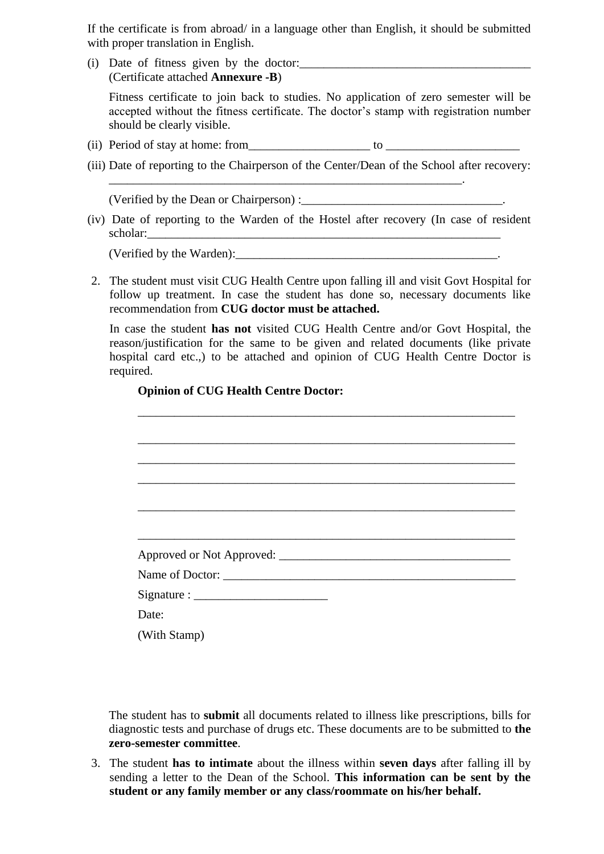If the certificate is from abroad/ in a language other than English, it should be submitted with proper translation in English.

(i) Date of fitness given by the doctor:\_\_\_\_\_\_\_\_\_\_\_\_\_\_\_\_\_\_\_\_\_\_\_\_\_\_\_\_\_\_\_\_\_\_\_\_\_\_ (Certificate attached **Annexure -B**)

Fitness certificate to join back to studies. No application of zero semester will be accepted without the fitness certificate. The doctor's stamp with registration number should be clearly visible.

(ii) Period of stay at home: from to the state of stay at home: from the state of stay at home of stay at home of  $\sim$ 

\_\_\_\_\_\_\_\_\_\_\_\_\_\_\_\_\_\_\_\_\_\_\_\_\_\_\_\_\_\_\_\_\_\_\_\_\_\_\_\_\_\_\_\_\_\_\_\_\_\_\_\_\_\_\_\_\_\_.

(iii) Date of reporting to the Chairperson of the Center/Dean of the School after recovery:

(Verified by the Dean or Chairperson) :

(iv) Date of reporting to the Warden of the Hostel after recovery (In case of resident scholar:\_\_\_\_\_\_\_\_\_\_\_\_\_\_\_\_\_\_\_\_\_\_\_\_\_\_\_\_\_\_\_\_\_\_\_\_\_\_\_\_\_\_\_\_\_\_\_\_\_\_\_\_\_\_\_\_\_\_

(Verified by the Warden):

2. The student must visit CUG Health Centre upon falling ill and visit Govt Hospital for follow up treatment. In case the student has done so, necessary documents like recommendation from **CUG doctor must be attached.** 

In case the student **has not** visited CUG Health Centre and/or Govt Hospital, the reason/justification for the same to be given and related documents (like private hospital card etc.,) to be attached and opinion of CUG Health Centre Doctor is required.

# **Opinion of CUG Health Centre Doctor:**

| Name of Doctor: |
|-----------------|
|                 |
| Date:           |
| (With Stamp)    |

The student has to **submit** all documents related to illness like prescriptions, bills for diagnostic tests and purchase of drugs etc. These documents are to be submitted to **the zero-semester committee**.

3. The student **has to intimate** about the illness within **seven days** after falling ill by sending a letter to the Dean of the School. **This information can be sent by the student or any family member or any class/roommate on his/her behalf.**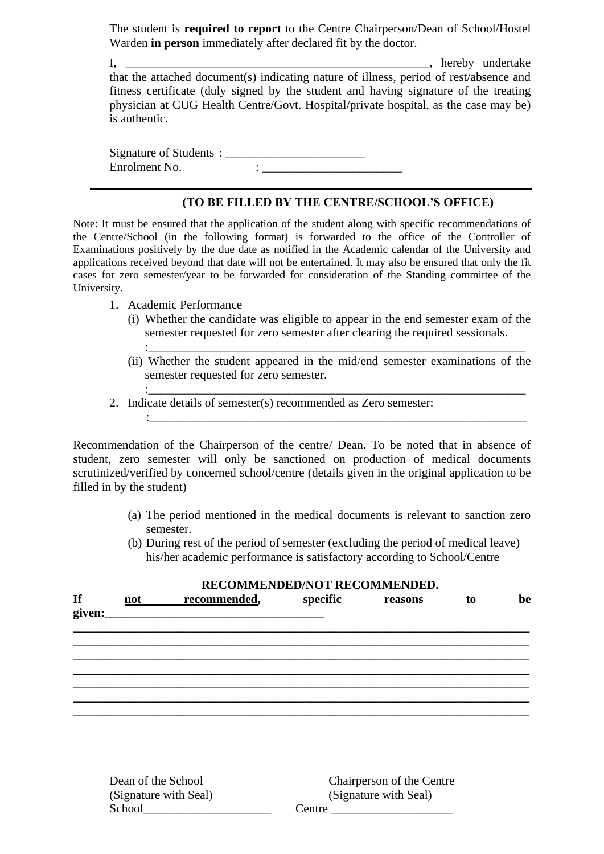The student is **required to report** to the Centre Chairperson/Dean of School/Hostel Warden **in person** immediately after declared fit by the doctor.

I, \_\_\_\_\_\_\_\_\_\_\_\_\_\_\_\_\_\_\_\_\_\_\_\_\_\_\_\_\_\_\_\_\_\_\_\_\_\_\_\_\_\_\_\_\_\_\_\_\_\_, hereby undertake that the attached document(s) indicating nature of illness, period of rest/absence and fitness certificate (duly signed by the student and having signature of the treating physician at CUG Health Centre/Govt. Hospital/private hospital, as the case may be) is authentic.

Signature of Students : \_\_\_\_\_\_\_\_\_\_\_\_\_\_\_\_\_\_\_\_\_\_\_ Enrolment No.  $\qquad \qquad :$ 

# **(TO BE FILLED BY THE CENTRE/SCHOOL'S OFFICE)**

Note: It must be ensured that the application of the student along with specific recommendations of the Centre/School (in the following format) is forwarded to the office of the Controller of Examinations positively by the due date as notified in the Academic calendar of the University and applications received beyond that date will not be entertained. It may also be ensured that only the fit cases for zero semester/year to be forwarded for consideration of the Standing committee of the University.

- 1. Academic Performance
	- (i) Whether the candidate was eligible to appear in the end semester exam of the semester requested for zero semester after clearing the required sessionals. :\_\_\_\_\_\_\_\_\_\_\_\_\_\_\_\_\_\_\_\_\_\_\_\_\_\_\_\_\_\_\_\_\_\_\_\_\_\_\_\_\_\_\_\_\_\_\_\_\_\_\_\_\_\_\_\_\_\_\_\_\_\_
	- (ii) Whether the student appeared in the mid/end semester examinations of the semester requested for zero semester.

:\_\_\_\_\_\_\_\_\_\_\_\_\_\_\_\_\_\_\_\_\_\_\_\_\_\_\_\_\_\_\_\_\_\_\_\_\_\_\_\_\_\_\_\_\_\_\_\_\_\_\_\_\_\_\_\_\_\_\_\_\_\_

:\_\_\_\_\_\_\_\_\_\_\_\_\_\_\_\_\_\_\_\_\_\_\_\_\_\_\_\_\_\_\_\_\_\_\_\_\_\_\_\_\_\_\_\_\_\_\_\_\_\_\_\_\_\_\_\_\_\_\_\_\_\_ 2. Indicate details of semester(s) recommended as Zero semester:

Recommendation of the Chairperson of the centre/ Dean. To be noted that in absence of student, zero semester will only be sanctioned on production of medical documents scrutinized/verified by concerned school/centre (details given in the original application to be filled in by the student)

- (a) The period mentioned in the medical documents is relevant to sanction zero semester.
- (b) During rest of the period of semester (excluding the period of medical leave) his/her academic performance is satisfactory according to School/Centre

## **RECOMMENDED/NOT RECOMMENDED.**

| $\mathbf{H}$ | $not \qquad \qquad$ | recommended, | specific | reasons | to | be |
|--------------|---------------------|--------------|----------|---------|----|----|
|              |                     |              |          |         |    |    |
|              |                     |              |          |         |    |    |
|              |                     |              |          |         |    |    |
|              |                     |              |          |         |    |    |
|              |                     |              |          |         |    |    |
|              |                     |              |          |         |    |    |

| Dean of the School    | Chairperson of the Centre |
|-----------------------|---------------------------|
| (Signature with Seal) | (Signature with Seal)     |
| School                | Centre                    |